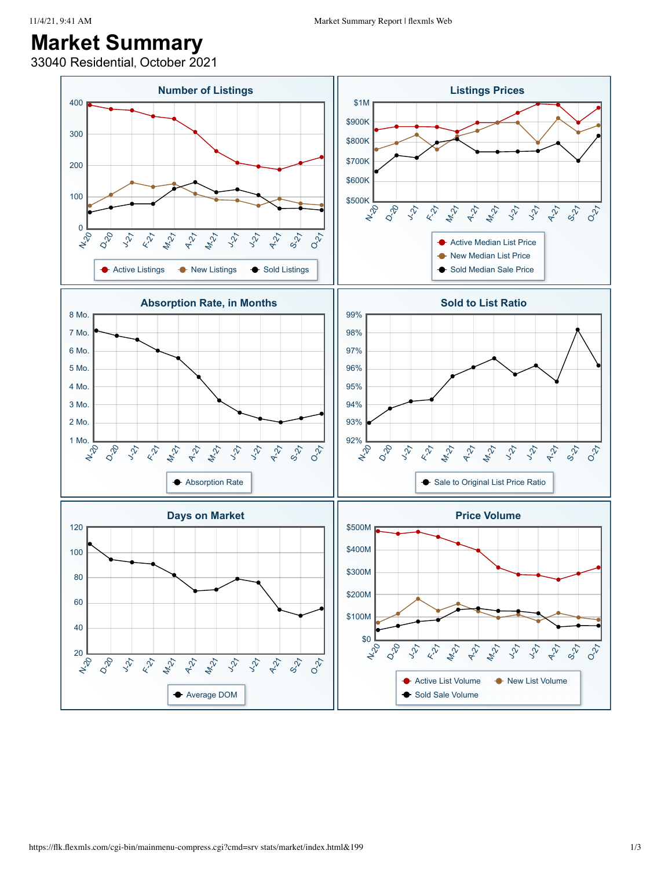## **Market Summary**

33040 Residential, October 2021

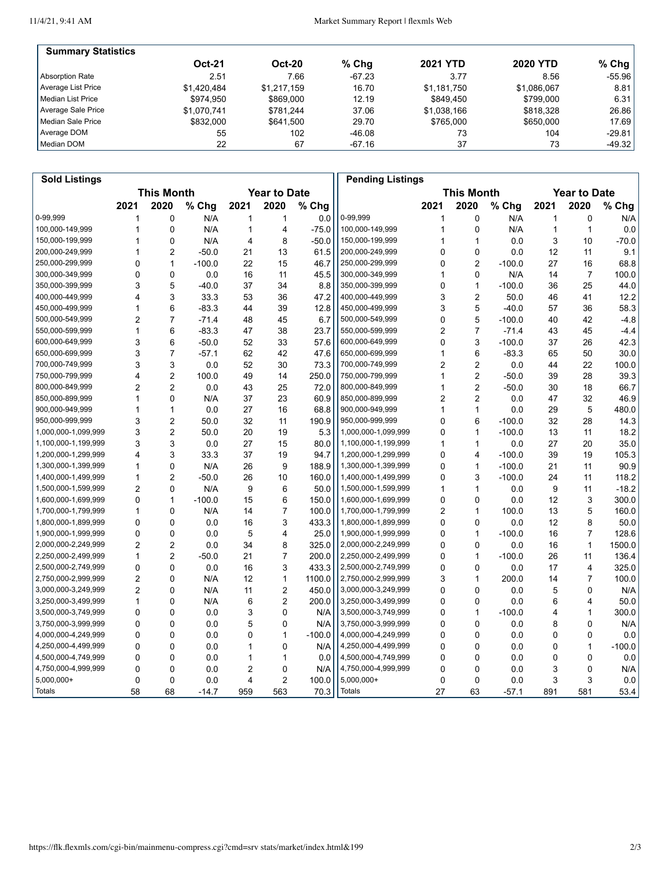11/4/21, 9:41 AM

| <b>Summary Statistics</b> |               |               |          |                 |                 |          |
|---------------------------|---------------|---------------|----------|-----------------|-----------------|----------|
|                           | <b>Oct-21</b> | <b>Oct-20</b> | $%$ Chq  | <b>2021 YTD</b> | <b>2020 YTD</b> | $%$ Chg  |
| Absorption Rate           | 2.51          | 7.66          | $-67.23$ | 3.77            | 8.56            | $-55.96$ |
| Average List Price        | \$1.420.484   | \$1.217.159   | 16.70    | \$1.181.750     | \$1,086,067     | 8.81     |
| Median List Price         | \$974.950     | \$869,000     | 12.19    | \$849.450       | \$799.000       | 6.31     |
| Average Sale Price        | \$1.070.741   | \$781.244     | 37.06    | \$1,038,166     | \$818,328       | 26.86    |
| Median Sale Price         | \$832,000     | \$641.500     | 29.70    | \$765.000       | \$650,000       | 17.69    |
| Average DOM               | 55            | 102           | $-46.08$ | 73              | 104             | $-29.81$ |
| Median DOM                | 22            | 67            | -67.16   | 37              | 73              | $-49.32$ |

| <b>Sold Listings</b> |                                          |                |          |      |                |                   | <b>Pending Listings</b> |                |                |          |                     |                |          |
|----------------------|------------------------------------------|----------------|----------|------|----------------|-------------------|-------------------------|----------------|----------------|----------|---------------------|----------------|----------|
|                      | <b>This Month</b><br><b>Year to Date</b> |                |          |      |                | <b>This Month</b> |                         |                |                |          | <b>Year to Date</b> |                |          |
|                      | 2021                                     | 2020           | % Chg    | 2021 | 2020           | % Chg             |                         | 2021           | 2020           | % Chg    | 2021                | 2020           | % Chg    |
| 0-99,999             | 1                                        | 0              | N/A      | 1    | 1              | 0.0               | 0-99,999                | 1              | 0              | N/A      | 1                   | 0              | N/A      |
| 100,000-149,999      | 1                                        | 0              | N/A      | 1    | 4              | $-75.0$           | 100,000-149,999         | 1              | $\mathbf 0$    | N/A      | 1                   | $\mathbf{1}$   | 0.0      |
| 150,000-199,999      | 1                                        | 0              | N/A      | 4    | 8              | $-50.0$           | 150,000-199,999         | 1              | 1              | 0.0      | 3                   | 10             | $-70.0$  |
| 200,000-249,999      | 1                                        | $\overline{2}$ | $-50.0$  | 21   | 13             | 61.5              | 200,000-249,999         | 0              | 0              | 0.0      | 12                  | 11             | 9.1      |
| 250,000-299,999      | 0                                        | $\mathbf{1}$   | $-100.0$ | 22   | 15             | 46.7              | 250,000-299,999         | 0              | $\overline{2}$ | $-100.0$ | 27                  | 16             | 68.8     |
| 300,000-349,999      | 0                                        | 0              | 0.0      | 16   | 11             | 45.5              | 300,000-349,999         | 1              | 0              | N/A      | 14                  | $\overline{7}$ | 100.0    |
| 350,000-399,999      | 3                                        | 5              | $-40.0$  | 37   | 34             | 8.8               | 350,000-399,999         | 0              | $\mathbf{1}$   | $-100.0$ | 36                  | 25             | 44.0     |
| 400,000-449,999      | 4                                        | 3              | 33.3     | 53   | 36             | 47.2              | 400,000-449,999         | 3              | $\overline{2}$ | 50.0     | 46                  | 41             | 12.2     |
| 450,000-499,999      | 1                                        | 6              | $-83.3$  | 44   | 39             | 12.8              | 450,000-499,999         | 3              | 5              | $-40.0$  | 57                  | 36             | 58.3     |
| 500,000-549,999      | $\overline{2}$                           | $\overline{7}$ | $-71.4$  | 48   | 45             | 6.7               | 500,000-549,999         | 0              | 5              | $-100.0$ | 40                  | 42             | $-4.8$   |
| 550,000-599,999      | 1                                        | 6              | $-83.3$  | 47   | 38             | 23.7              | 550,000-599,999         | 2              | $\overline{7}$ | $-71.4$  | 43                  | 45             | $-4.4$   |
| 600,000-649,999      | 3                                        | 6              | $-50.0$  | 52   | 33             | 57.6              | 600,000-649,999         | 0              | 3              | $-100.0$ | 37                  | 26             | 42.3     |
| 650,000-699,999      | 3                                        | $\overline{7}$ | $-57.1$  | 62   | 42             | 47.6              | 650,000-699,999         | 1              | 6              | $-83.3$  | 65                  | 50             | 30.0     |
| 700,000-749,999      | 3                                        | 3              | 0.0      | 52   | 30             | 73.3              | 700,000-749,999         | 2              | $\overline{2}$ | 0.0      | 44                  | 22             | 100.0    |
| 750,000-799,999      | 4                                        | $\overline{2}$ | 100.0    | 49   | 14             | 250.0             | 750,000-799,999         | 1              | $\overline{2}$ | $-50.0$  | 39                  | 28             | 39.3     |
| 800,000-849,999      | 2                                        | $\overline{2}$ | 0.0      | 43   | 25             | 72.0              | 800,000-849,999         | 1              | $\overline{2}$ | $-50.0$  | 30                  | 18             | 66.7     |
| 850,000-899,999      | 1                                        | $\mathbf{0}$   | N/A      | 37   | 23             | 60.9              | 850,000-899,999         | $\overline{2}$ | $\overline{c}$ | 0.0      | 47                  | 32             | 46.9     |
| 900,000-949,999      | 1                                        | 1              | 0.0      | 27   | 16             | 68.8              | 900,000-949,999         | 1              | $\mathbf{1}$   | 0.0      | 29                  | 5              | 480.0    |
| 950,000-999,999      | 3                                        | $\overline{2}$ | 50.0     | 32   | 11             | 190.9             | 950,000-999,999         | 0              | 6              | $-100.0$ | 32                  | 28             | 14.3     |
| 1,000,000-1,099,999  | 3                                        | $\overline{2}$ | 50.0     | 20   | 19             | 5.3               | 1,000,000-1,099,999     | 0              | $\mathbf{1}$   | $-100.0$ | 13                  | 11             | 18.2     |
| 1,100,000-1,199,999  | 3                                        | 3              | 0.0      | 27   | 15             | 80.0              | 1,100,000-1,199,999     | 1              | $\mathbf{1}$   | 0.0      | 27                  | 20             | 35.0     |
| 1,200,000-1,299,999  | 4                                        | 3              | 33.3     | 37   | 19             | 94.7              | 1,200,000-1,299,999     | 0              | 4              | $-100.0$ | 39                  | 19             | 105.3    |
| 1,300,000-1,399,999  | 1                                        | 0              | N/A      | 26   | 9              | 188.9             | 1,300,000-1,399,999     | 0              | $\mathbf{1}$   | $-100.0$ | 21                  | 11             | 90.9     |
| 1,400,000-1,499,999  | 1                                        | $\overline{2}$ | $-50.0$  | 26   | 10             | 160.0             | 1,400,000-1,499,999     | 0              | 3              | $-100.0$ | 24                  | 11             | 118.2    |
| 1,500,000-1,599,999  | $\overline{2}$                           | $\mathbf 0$    | N/A      | 9    | 6              | 50.0              | 1,500,000-1,599,999     | 1              | $\mathbf{1}$   | 0.0      | 9                   | 11             | $-18.2$  |
| 1,600,000-1,699,999  | 0                                        | 1              | $-100.0$ | 15   | 6              | 150.0             | 1,600,000-1,699,999     | 0              | $\Omega$       | 0.0      | 12                  | 3              | 300.0    |
| 1,700,000-1,799,999  | 1                                        | 0              | N/A      | 14   | $\overline{7}$ | 100.0             | 1,700,000-1,799,999     | 2              | $\mathbf{1}$   | 100.0    | 13                  | 5              | 160.0    |
| 1,800,000-1,899,999  | 0                                        | 0              | 0.0      | 16   | 3              | 433.3             | 1,800,000-1,899,999     | 0              | 0              | 0.0      | 12                  | 8              | 50.0     |
| 1,900,000-1,999,999  | 0                                        | 0              | 0.0      | 5    | 4              | 25.0              | 1,900,000-1,999,999     | 0              | $\mathbf{1}$   | $-100.0$ | 16                  | $\overline{7}$ | 128.6    |
| 2,000,000-2,249,999  | $\overline{2}$                           | $\overline{2}$ | 0.0      | 34   | 8              | 325.0             | 2,000,000-2,249,999     | 0              | $\mathbf{0}$   | 0.0      | 16                  | 1              | 1500.0   |
| 2,250,000-2,499,999  | 1                                        | 2              | $-50.0$  | 21   | $\overline{7}$ | 200.0             | 2,250,000-2,499,999     | 0              | $\mathbf{1}$   | $-100.0$ | 26                  | 11             | 136.4    |
| 2,500,000-2,749,999  | 0                                        | $\mathbf{0}$   | 0.0      | 16   | 3              | 433.3             | 2,500,000-2,749,999     | 0              | 0              | 0.0      | 17                  | $\overline{4}$ | 325.0    |
| 2,750,000-2,999,999  | $\overline{2}$                           | 0              | N/A      | 12   | 1              | 1100.0            | 2,750,000-2,999,999     | 3              | 1              | 200.0    | 14                  | $\overline{7}$ | 100.0    |
| 3,000,000-3,249,999  | $\overline{2}$                           | 0              | N/A      | 11   | 2              | 450.0             | 3,000,000-3,249,999     | 0              | $\mathbf 0$    | 0.0      | 5                   | 0              | N/A      |
| 3,250,000-3,499,999  | 1                                        | $\mathbf{0}$   | N/A      | 6    | $\overline{2}$ | 200.0             | 3,250,000-3,499,999     | 0              | 0              | 0.0      | 6                   | 4              | 50.0     |
| 3,500,000-3,749,999  | 0                                        | 0              | 0.0      | 3    | 0              | N/A               | 3,500,000-3,749,999     | 0              | $\mathbf{1}$   | $-100.0$ | 4                   | 1              | 300.0    |
| 3,750,000-3,999,999  | 0                                        | 0              | 0.0      | 5    | 0              | N/A               | 3,750,000-3,999,999     | 0              | 0              | 0.0      | 8                   | 0              | N/A      |
| 4,000,000-4,249,999  | 0                                        | 0              | 0.0      | 0    | 1              | $-100.0$          | 4,000,000-4,249,999     | 0              | 0              | 0.0      | 0                   | 0              | 0.0      |
| 4,250,000-4,499,999  | 0                                        | $\mathbf{0}$   | 0.0      | 1    | 0              | N/A               | 4,250,000-4,499,999     | 0              | $\mathbf{0}$   | 0.0      | 0                   | 1              | $-100.0$ |
| 4,500,000-4,749,999  | 0                                        | 0              | 0.0      | 1    | $\mathbf{1}$   | 0.0               | 4,500,000-4,749,999     | 0              | $\mathbf 0$    | 0.0      | 0                   | $\mathbf 0$    | 0.0      |
| 4,750,000-4,999,999  | 0                                        | 0              | 0.0      | 2    | 0              | N/A               | 4,750,000-4,999,999     | 0              | $\Omega$       | 0.0      | 3                   | $\mathbf 0$    | N/A      |
| 5,000,000+           | 0                                        | 0              | 0.0      | 4    | 2              | 100.0             | 5,000,000+              | 0              | 0              | 0.0      | 3                   | 3              | 0.0      |
| Totals               | 58                                       | 68             | $-14.7$  | 959  | 563            | 70.3              | Totals                  | 27             | 63             | $-57.1$  | 891                 | 581            | 53.4     |